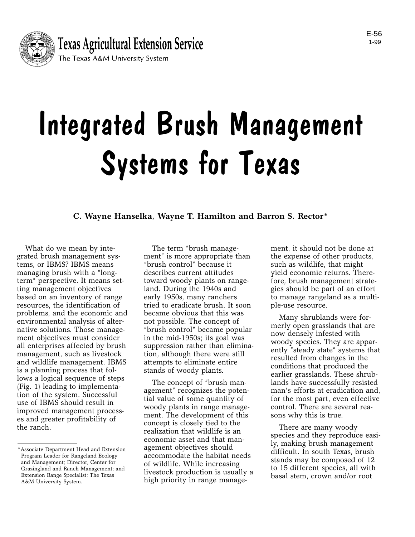

# Integrated Brush Management Systems for Texas

**C. Wayne Hanselka, Wayne T. Hamilton and Barron S. Rector\***

What do we mean by integrated brush management systems, or IBMS? IBMS means managing brush with a "longterm" perspective. It means setting management objectives based on an inventory of range resources, the identification of problems, and the economic and environmental analysis of alternative solutions. Those management objectives must consider all enterprises affected by brush management, such as livestock and wildlife management. IBMS is a planning process that follows a logical sequence of steps (Fig. 1) leading to implementation of the system. Successful use of IBMS should result in improved management processes and greater profitability of the ranch.

The term "brush management" is more appropriate than "brush control" because it describes current attitudes toward woody plants on rangeland. During the 1940s and early 1950s, many ranchers tried to eradicate brush. It soon became obvious that this was not possible. The concept of "brush control" became popular in the mid-1950s; its goal was suppression rather than elimination, although there were still attempts to eliminate entire stands of woody plants.

The concept of "brush management" recognizes the potential value of some quantity of woody plants in range management. The development of this concept is closely tied to the realization that wildlife is an economic asset and that management objectives should accommodate the habitat needs of wildlife. While increasing livestock production is usually a high priority in range management, it should not be done at the expense of other products, such as wildlife, that might yield economic returns. Therefore, brush management strategies should be part of an effort to manage rangeland as a multiple-use resource.

Many shrublands were formerly open grasslands that are now densely infested with woody species. They are apparently "steady state" systems that resulted from changes in the conditions that produced the earlier grasslands. These shrublands have successfully resisted man's efforts at eradication and, for the most part, even effective control. There are several reasons why this is true.

There are many woody species and they reproduce easily, making brush management difficult. In south Texas, brush stands may be composed of 12 to 15 different species, all with basal stem, crown and/or root

<sup>\*</sup>Associate Department Head and Extension Program Leader for Rangeland Ecology and Management; Director, Center for Grazingland and Ranch Management; and Extension Range Specialist; The Texas A&M University System.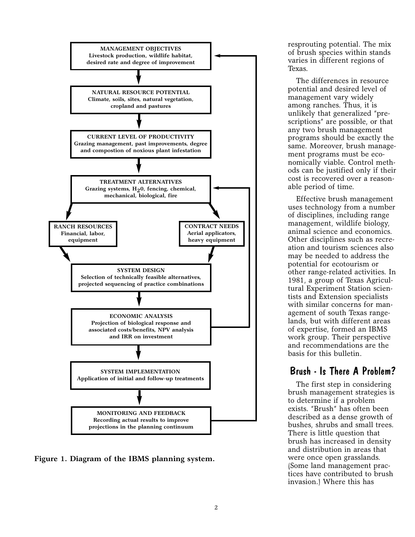

**Figure 1. Diagram of the IBMS planning system.**

resprouting potential. The mix of brush species within stands varies in different regions of Texas.

The differences in resource potential and desired level of management vary widely among ranches. Thus, it is unlikely that generalized "prescriptions" are possible, or that any two brush management programs should be exactly the same. Moreover, brush management programs must be economically viable. Control methods can be justified only if their cost is recovered over a reasonable period of time.

Effective brush management uses technology from a number of disciplines, including range management, wildlife biology, animal science and economics. Other disciplines such as recreation and tourism sciences also may be needed to address the potential for ecotourism or other range-related activities. In 1981, a group of Texas Agricultural Experiment Station scientists and Extension specialists with similar concerns for management of south Texas rangelands, but with different areas of expertise, formed an IBMS work group. Their perspective and recommendations are the basis for this bulletin.

# Brush - Is There A Problem?

The first step in considering brush management strategies is to determine if a problem exists. "Brush" has often been described as a dense growth of bushes, shrubs and small trees. There is little question that brush has increased in density and distribution in areas that were once open grasslands. (Some land management practices have contributed to brush invasion.) Where this has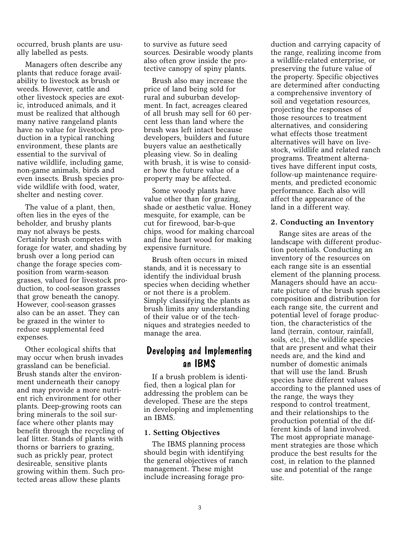occurred, brush plants are usually labelled as pests.

Managers often describe any plants that reduce forage availability to livestock as brush or weeds. However, cattle and other livestock species are exotic, introduced animals, and it must be realized that although many native rangeland plants have no value for livestock production in a typical ranching environment, these plants are essential to the survival of native wildlife, including game, non-game animals, birds and even insects. Brush species provide wildlife with food, water, shelter and nesting cover.

The value of a plant, then, often lies in the eyes of the beholder, and brushy plants may not always be pests. Certainly brush competes with forage for water, and shading by brush over a long period can change the forage species composition from warm-season grasses, valued for livestock production, to cool-season grasses that grow beneath the canopy. However, cool-season grasses also can be an asset. They can be grazed in the winter to reduce supplemental feed expenses.

Other ecological shifts that may occur when brush invades grassland can be beneficial. Brush stands alter the environment underneath their canopy and may provide a more nutrient rich environment for other plants. Deep-growing roots can bring minerals to the soil surface where other plants may benefit through the recycling of leaf litter. Stands of plants with thorns or barriers to grazing, such as prickly pear, protect desireable, sensitive plants growing within them. Such protected areas allow these plants

to survive as future seed sources. Desirable woody plants also often grow inside the protective canopy of spiny plants.

Brush also may increase the price of land being sold for rural and suburban development. In fact, acreages cleared of all brush may sell for 60 percent less than land where the brush was left intact because developers, builders and future buyers value an aesthetically pleasing view. So in dealing with brush, it is wise to consider how the future value of a property may be affected.

Some woody plants have value other than for grazing, shade or aesthetic value. Honey mesquite, for example, can be cut for firewood, bar-b-que chips, wood for making charcoal and fine heart wood for making expensive furniture.

Brush often occurs in mixed stands, and it is necessary to identify the individual brush species when deciding whether or not there is a problem. Simply classifying the plants as brush limits any understanding of their value or of the techniques and strategies needed to manage the area.

## Developing and Implementing an IBMS

If a brush problem is identified, then a logical plan for addressing the problem can be developed. These are the steps in developing and implementing an IBMS.

## **1. Setting Objectives**

The IBMS planning process should begin with identifying the general objectives of ranch management. These might include increasing forage production and carrying capacity of the range, realizing income from a wildlife-related enterprise, or preserving the future value of the property. Specific objectives are determined after conducting a comprehensive inventory of soil and vegetation resources, projecting the responses of those resources to treatment alternatives, and considering what effects those treatment alternatives will have on livestock, wildlife and related ranch programs. Treatment alternatives have different input costs, follow-up maintenance requirements, and predicted economic performance. Each also will affect the appearance of the land in a different way.

#### **2. Conducting an Inventory**

Range sites are areas of the landscape with different production potentials. Conducting an inventory of the resources on each range site is an essential element of the planning process. Managers should have an accurate picture of the brush species composition and distribution for each range site, the current and potential level of forage production, the characteristics of the land (terrain, contour, rainfall, soils, etc.), the wildlife species that are present and what their needs are, and the kind and number of domestic animals that will use the land. Brush species have different values according to the planned uses of the range, the ways they respond to control treatment, and their relationships to the production potential of the different kinds of land involved. The most appropriate management strategies are those which produce the best results for the cost, in relation to the planned use and potential of the range site.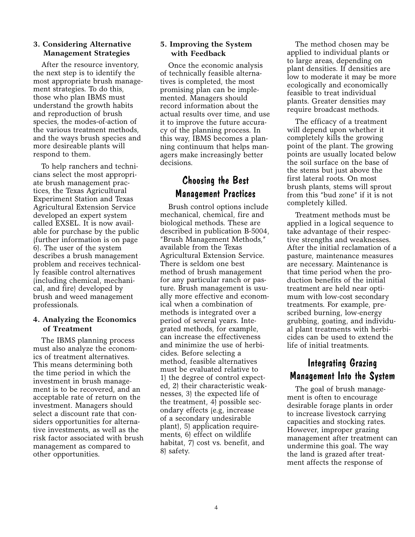#### **3. Considering Alternative Management Strategies**

After the resource inventory, the next step is to identify the most appropriate brush management strategies. To do this, those who plan IBMS must understand the growth habits and reproduction of brush species, the modes-of-action of the various treatment methods, and the ways brush species and more desireable plants will respond to them.

To help ranchers and technicians select the most appropriate brush management practices, the Texas Agricultural Experiment Station and Texas Agricultural Extension Service developed an expert system called EXSEL. It is now available for purchase by the public (further information is on page 6). The user of the system describes a brush management problem and receives technically feasible control alternatives (including chemical, mechanical, and fire) developed by brush and weed management professionals.

## **4. Analyzing the Economics of Treatment**

The IBMS planning process must also analyze the economics of treatment alternatives. This means determining both the time period in which the investment in brush management is to be recovered, and an acceptable rate of return on the investment. Managers should select a discount rate that considers opportunities for alternative investments, as well as the risk factor associated with brush management as compared to other opportunities.

## **5. Improving the System with Feedback**

Once the economic analysis of technically feasible alternatives is completed, the most promising plan can be implemented. Managers should record information about the actual results over time, and use it to improve the future accuracy of the planning process. In this way, IBMS becomes a planning continuum that helps managers make increasingly better decisions.

# Choosing the Best Management Practices

Brush control options include mechanical, chemical, fire and biological methods. These are described in publication B-5004, "Brush Management Methods," available from the Texas Agricultural Extension Service. There is seldom one best method of brush management for any particular ranch or pasture. Brush management is usually more effective and economical when a combination of methods is integrated over a period of several years. Integrated methods, for example, can increase the effectiveness and minimize the use of herbicides. Before selecting a method, feasible alternatives must be evaluated relative to 1) the degree of control expected, 2) their characteristic weaknesses, 3) the expected life of the treatment, 4) possible secondary effects (e.g, increase of a secondary undesirable plant), 5) application requirements, 6) effect on wildlife habitat, 7) cost vs. benefit, and 8) safety.

The method chosen may be applied to individual plants or to large areas, depending on plant densities. If densities are low to moderate it may be more ecologically and economically feasible to treat individual plants. Greater densities may require broadcast methods.

The efficacy of a treatment will depend upon whether it completely kills the growing point of the plant. The growing points are usually located below the soil surface on the base of the stems but just above the first lateral roots. On most brush plants, stems will sprout from this "bud zone" if it is not completely killed.

Treatment methods must be applied in a logical sequence to take advantage of their respective strengths and weaknesses. After the initial reclamation of a pasture, maintenance measures are necessary. Maintenance is that time period when the production benefits of the initial treatment are held near optimum with low-cost secondary treatments. For example, prescribed burning, low-energy grubbing, goating, and individual plant treatments with herbicides can be used to extend the life of initial treatments.

# Integrating Grazing Management Into the System

The goal of brush management is often to encourage desirable forage plants in order to increase livestock carrying capacities and stocking rates. However, improper grazing management after treatment can undermine this goal. The way the land is grazed after treatment affects the response of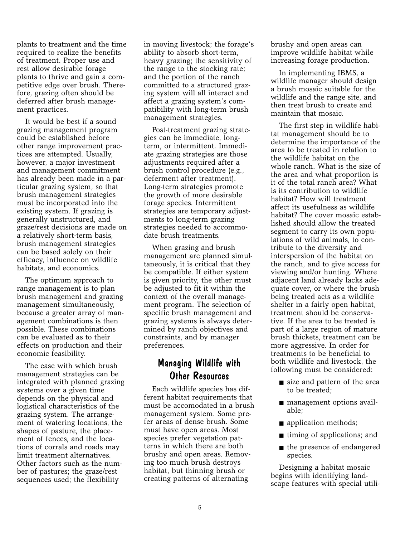plants to treatment and the time required to realize the benefits of treatment. Proper use and rest allow desirable forage plants to thrive and gain a competitive edge over brush. Therefore, grazing often should be deferred after brush management practices.

It would be best if a sound grazing management program could be established before other range improvement practices are attempted. Usually, however, a major investment and management commitment has already been made in a particular grazing system, so that brush management strategies must be incorporated into the existing system. If grazing is generally unstructured, and graze/rest decisions are made on a relatively short-term basis, brush management strategies can be based solely on their efficacy, influence on wildlife habitats, and economics.

The optimum approach to range management is to plan brush management and grazing management simultaneously, because a greater array of management combinations is then possible. These combinations can be evaluated as to their effects on production and their economic feasibility.

The ease with which brush management strategies can be integrated with planned grazing systems over a given time depends on the physical and logistical characteristics of the grazing system. The arrangement of watering locations, the shapes of pasture, the placement of fences, and the locations of corrals and roads may limit treatment alternatives. Other factors such as the number of pastures; the graze/rest sequences used; the flexibility

in moving livestock; the forage's ability to absorb short-term, heavy grazing; the sensitivity of the range to the stocking rate; and the portion of the ranch committed to a structured grazing system will all interact and affect a grazing system's compatibility with long-term brush management strategies.

Post-treatment grazing strategies can be immediate, longterm, or intermittent. Immediate grazing strategies are those adjustments required after a brush control procedure (e.g., deferment after treatment). Long-term strategies promote the growth of more desirable forage species. Intermittent strategies are temporary adjustments to long-term grazing strategies needed to accommodate brush treatments.

When grazing and brush management are planned simultaneously, it is critical that they be compatible. If either system is given priority, the other must be adjusted to fit it within the context of the overall management program. The selection of specific brush management and grazing systems is always determined by ranch objectives and constraints, and by manager preferences.

# Managing Wildlife with Other Resources

Each wildlife species has different habitat requirements that must be accomodated in a brush management system. Some prefer areas of dense brush. Some must have open areas. Most species prefer vegetation patterns in which there are both brushy and open areas. Removing too much brush destroys habitat, but thinning brush or creating patterns of alternating

brushy and open areas can improve wildlife habitat while increasing forage production.

In implementing IBMS, a wildlife manager should design a brush mosaic suitable for the wildlife and the range site, and then treat brush to create and maintain that mosaic.

The first step in wildlife habitat management should be to determine the importance of the area to be treated in relation to the wildlife habitat on the whole ranch. What is the size of the area and what proportion is it of the total ranch area? What is its contribution to wildlife habitat? How will treatment affect its usefulness as wildlife habitat? The cover mosaic established should allow the treated segment to carry its own populations of wild animals, to contribute to the diversity and interspersion of the habitat on the ranch, and to give access for viewing and/or hunting. Where adjacent land already lacks adequate cover, or where the brush being treated acts as a wildlife shelter in a fairly open habitat, treatment should be conservative. If the area to be treated is part of a large region of mature brush thickets, treatment can be more aggressive. In order for treatments to be beneficial to both wildlife and livestock, the following must be considered:

- size and pattern of the area to be treated;
- management options available;
- application methods;
- timing of applications; and
- the presence of endangered species.

Designing a habitat mosaic begins with identifying landscape features with special utili